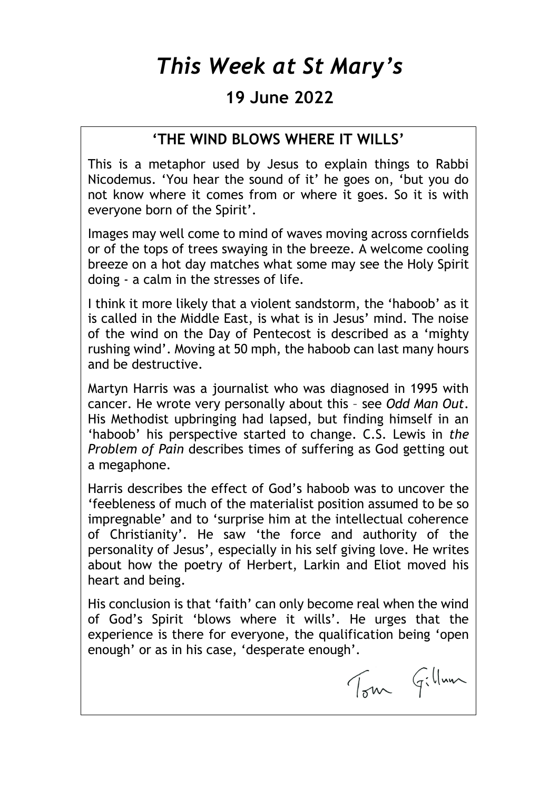# *This Week at St Mary's*

### **19 June 2022**

#### **'THE WIND BLOWS WHERE IT WILLS'**

This is a metaphor used by Jesus to explain things to Rabbi Nicodemus. 'You hear the sound of it' he goes on, 'but you do not know where it comes from or where it goes. So it is with everyone born of the Spirit'.

Images may well come to mind of waves moving across cornfields or of the tops of trees swaying in the breeze. A welcome cooling breeze on a hot day matches what some may see the Holy Spirit doing - a calm in the stresses of life.

I think it more likely that a violent sandstorm, the 'haboob' as it is called in the Middle East, is what is in Jesus' mind. The noise of the wind on the Day of Pentecost is described as a 'mighty rushing wind'. Moving at 50 mph, the haboob can last many hours and be destructive.

Martyn Harris was a journalist who was diagnosed in 1995 with cancer. He wrote very personally about this – see *Odd Man Out*. His Methodist upbringing had lapsed, but finding himself in an 'haboob' his perspective started to change. C.S. Lewis in *the Problem of Pain* describes times of suffering as God getting out a megaphone.

Harris describes the effect of God's haboob was to uncover the 'feebleness of much of the materialist position assumed to be so impregnable' and to 'surprise him at the intellectual coherence of Christianity'. He saw 'the force and authority of the personality of Jesus', especially in his self giving love. He writes about how the poetry of Herbert, Larkin and Eliot moved his heart and being.

His conclusion is that 'faith' can only become real when the wind of God's Spirit 'blows where it wills'. He urges that the experience is there for everyone, the qualification being 'open enough' or as in his case, 'desperate enough'.

Tom Gillaun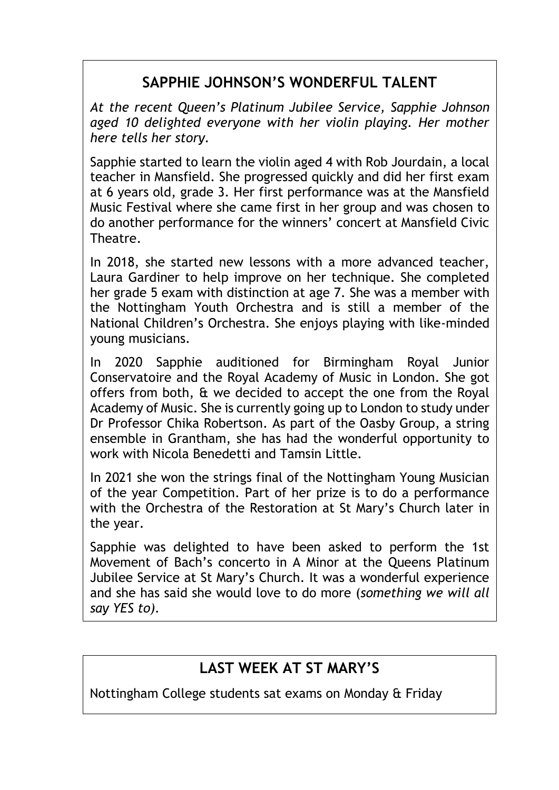# **SAPPHIE JOHNSON'S WONDERFUL TALENT**

*At the recent Queen's Platinum Jubilee Service, Sapphie Johnson aged 10 delighted everyone with her violin playing. Her mother here tells her story.*

Sapphie started to learn the violin aged 4 with Rob Jourdain, a local teacher in Mansfield. She progressed quickly and did her first exam at 6 years old, grade 3. Her first performance was at the Mansfield Music Festival where she came first in her group and was chosen to do another performance for the winners' concert at Mansfield Civic Theatre.

In 2018, she started new lessons with a more advanced teacher, Laura Gardiner to help improve on her technique. She completed her grade 5 exam with distinction at age 7. She was a member with the Nottingham Youth Orchestra and is still a member of the National Children's Orchestra. She enjoys playing with like-minded young musicians.

In 2020 Sapphie auditioned for Birmingham Royal Junior Conservatoire and the Royal Academy of Music in London. She got offers from both, & we decided to accept the one from the Royal Academy of Music. She is currently going up to London to study under Dr Professor Chika Robertson. As part of the Oasby Group, a string ensemble in Grantham, she has had the wonderful opportunity to work with Nicola Benedetti and Tamsin Little.

In 2021 she won the strings final of the Nottingham Young Musician of the year Competition. Part of her prize is to do a performance with the Orchestra of the Restoration at St Mary's Church later in the year.

Sapphie was delighted to have been asked to perform the 1st Movement of Bach's concerto in A Minor at the Queens Platinum Jubilee Service at St Mary's Church. It was a wonderful experience and she has said she would love to do more (*something we will all say YES to).*

### **LAST WEEK AT ST MARY'S**

Nottingham College students sat exams on Monday & Friday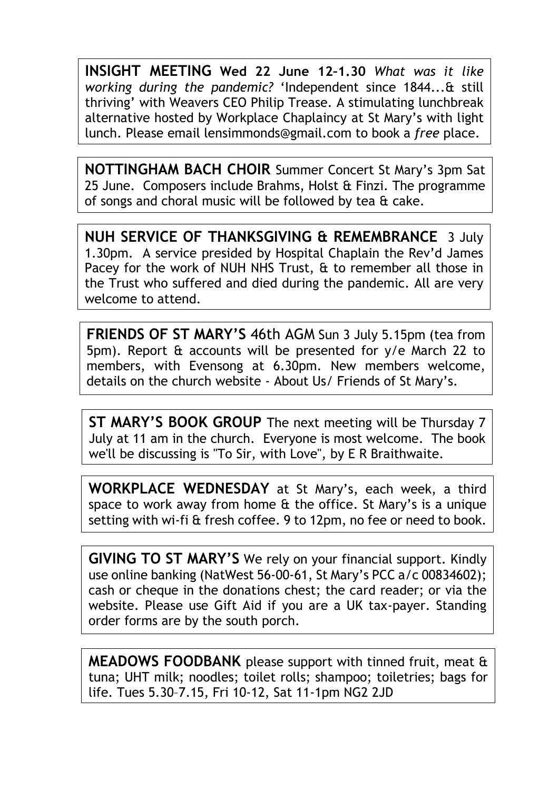**INSIGHT MEETING Wed 22 June 12–1.30** *What was it like working during the pandemic?* 'Independent since 1844...& still thriving' with Weavers CEO Philip Trease. A stimulating lunchbreak alternative hosted by Workplace Chaplaincy at St Mary's with light lunch. Please email [lensimmonds@gmail.com](mailto:lensimmonds@gmail.com) to book a *free* place.

**NOTTINGHAM BACH CHOIR** Summer Concert St Mary's 3pm Sat 25 June. Composers include Brahms, Holst & Finzi. The programme of songs and choral music will be followed by tea & cake.

**NUH SERVICE OF THANKSGIVING & REMEMBRANCE** 3 July 1.30pm. A service presided by Hospital Chaplain the Rev'd James Pacey for the work of NUH NHS Trust, & to remember all those in the Trust who suffered and died during the pandemic. All are very welcome to attend.

**FRIENDS OF ST MARY'S** 46th AGM Sun 3 July 5.15pm (tea from 5pm). Report & accounts will be presented for y/e March 22 to members, with Evensong at 6.30pm. New members welcome, details on the church website - About Us/ Friends of St Mary's.

**ST MARY'S BOOK GROUP** The next meeting will be Thursday 7 July at 11 am in the church. Everyone is most welcome. The book we'll be discussing is "To Sir, with Love", by E R Braithwaite.

**WORKPLACE WEDNESDAY** at St Mary's, each week, a third space to work away from home & the office. St Mary's is a unique setting with wi-fi & fresh coffee. 9 to 12pm, no fee or need to book.

**GIVING TO ST MARY'S** We rely on your financial support. Kindly use online banking (NatWest 56-00-61, St Mary's PCC a/c 00834602); cash or cheque in the donations chest; the card reader; or via the website. Please use Gift Aid if you are a UK tax-payer. Standing order forms are by the south porch.

**MEADOWS FOODBANK** please support with tinned fruit, meat & tuna; UHT milk; noodles; toilet rolls; shampoo; toiletries; bags for life. Tues 5.30–7.15, Fri 10-12, Sat 11-1pm NG2 2JD